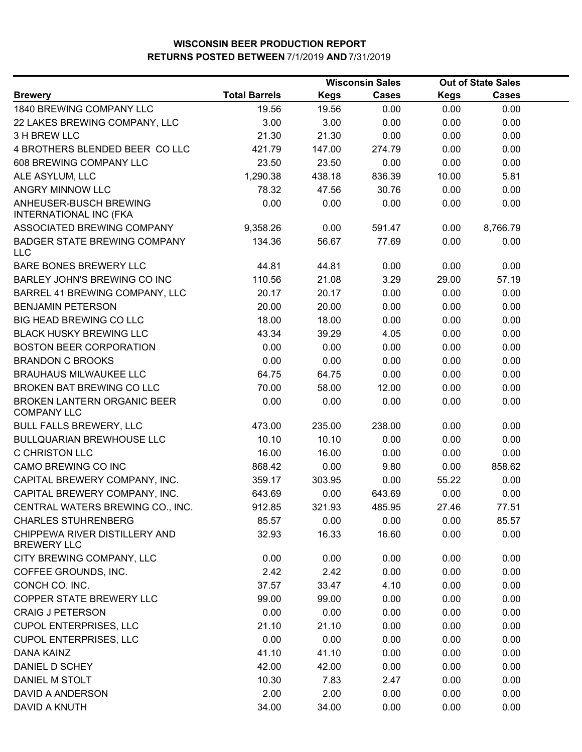|                                                         |                      |             | <b>Wisconsin Sales</b> | <b>Out of State Sales</b> |              |  |
|---------------------------------------------------------|----------------------|-------------|------------------------|---------------------------|--------------|--|
| <b>Brewery</b>                                          | <b>Total Barrels</b> | <b>Kegs</b> | <b>Cases</b>           | <b>Kegs</b>               | <b>Cases</b> |  |
| 1840 BREWING COMPANY LLC                                | 19.56                | 19.56       | 0.00                   | 0.00                      | 0.00         |  |
| 22 LAKES BREWING COMPANY, LLC                           | 3.00                 | 3.00        | 0.00                   | 0.00                      | 0.00         |  |
| 3 H BREW LLC                                            | 21.30                | 21.30       | 0.00                   | 0.00                      | 0.00         |  |
| 4 BROTHERS BLENDED BEER COLLC                           | 421.79               | 147.00      | 274.79                 | 0.00                      | 0.00         |  |
| 608 BREWING COMPANY LLC                                 | 23.50                | 23.50       | 0.00                   | 0.00                      | 0.00         |  |
| ALE ASYLUM, LLC                                         | 1,290.38             | 438.18      | 836.39                 | 10.00                     | 5.81         |  |
| ANGRY MINNOW LLC                                        | 78.32                | 47.56       | 30.76                  | 0.00                      | 0.00         |  |
| ANHEUSER-BUSCH BREWING<br><b>INTERNATIONAL INC (FKA</b> | 0.00                 | 0.00        | 0.00                   | 0.00                      | 0.00         |  |
| ASSOCIATED BREWING COMPANY                              | 9,358.26             | 0.00        | 591.47                 | 0.00                      | 8,766.79     |  |
| <b>BADGER STATE BREWING COMPANY</b><br><b>LLC</b>       | 134.36               | 56.67       | 77.69                  | 0.00                      | 0.00         |  |
| BARE BONES BREWERY LLC                                  | 44.81                | 44.81       | 0.00                   | 0.00                      | 0.00         |  |
| BARLEY JOHN'S BREWING CO INC                            | 110.56               | 21.08       | 3.29                   | 29.00                     | 57.19        |  |
| BARREL 41 BREWING COMPANY, LLC                          | 20.17                | 20.17       | 0.00                   | 0.00                      | 0.00         |  |
| <b>BENJAMIN PETERSON</b>                                | 20.00                | 20.00       | 0.00                   | 0.00                      | 0.00         |  |
| <b>BIG HEAD BREWING CO LLC</b>                          | 18.00                | 18.00       | 0.00                   | 0.00                      | 0.00         |  |
| <b>BLACK HUSKY BREWING LLC</b>                          | 43.34                | 39.29       | 4.05                   | 0.00                      | 0.00         |  |
| <b>BOSTON BEER CORPORATION</b>                          | 0.00                 | 0.00        | 0.00                   | 0.00                      | 0.00         |  |
| <b>BRANDON C BROOKS</b>                                 | 0.00                 | 0.00        | 0.00                   | 0.00                      | 0.00         |  |
| <b>BRAUHAUS MILWAUKEE LLC</b>                           | 64.75                | 64.75       | 0.00                   | 0.00                      | 0.00         |  |
| BROKEN BAT BREWING CO LLC                               | 70.00                | 58.00       | 12.00                  | 0.00                      | 0.00         |  |
| BROKEN LANTERN ORGANIC BEER<br><b>COMPANY LLC</b>       | 0.00                 | 0.00        | 0.00                   | 0.00                      | 0.00         |  |
| <b>BULL FALLS BREWERY, LLC</b>                          | 473.00               | 235.00      | 238.00                 | 0.00                      | 0.00         |  |
| <b>BULLQUARIAN BREWHOUSE LLC</b>                        | 10.10                | 10.10       | 0.00                   | 0.00                      | 0.00         |  |
| C CHRISTON LLC                                          | 16.00                | 16.00       | 0.00                   | 0.00                      | 0.00         |  |
| CAMO BREWING CO INC                                     | 868.42               | 0.00        | 9.80                   | 0.00                      | 858.62       |  |
| CAPITAL BREWERY COMPANY, INC.                           | 359.17               | 303.95      | 0.00                   | 55.22                     | 0.00         |  |
| CAPITAL BREWERY COMPANY, INC.                           | 643.69               | 0.00        | 643.69                 | 0.00                      | 0.00         |  |
| CENTRAL WATERS BREWING CO., INC.                        | 912.85               | 321.93      | 485.95                 | 27.46                     | 77.51        |  |
| <b>CHARLES STUHRENBERG</b>                              | 85.57                | 0.00        | 0.00                   | 0.00                      | 85.57        |  |
| CHIPPEWA RIVER DISTILLERY AND<br><b>BREWERY LLC</b>     | 32.93                | 16.33       | 16.60                  | 0.00                      | 0.00         |  |
| CITY BREWING COMPANY, LLC                               | 0.00                 | 0.00        | 0.00                   | 0.00                      | 0.00         |  |
| COFFEE GROUNDS, INC.                                    | 2.42                 | 2.42        | 0.00                   | 0.00                      | 0.00         |  |
| CONCH CO. INC.                                          | 37.57                | 33.47       | 4.10                   | 0.00                      | 0.00         |  |
| COPPER STATE BREWERY LLC                                | 99.00                | 99.00       | 0.00                   | 0.00                      | 0.00         |  |
| <b>CRAIG J PETERSON</b>                                 | 0.00                 | 0.00        | 0.00                   | 0.00                      | 0.00         |  |
| <b>CUPOL ENTERPRISES, LLC</b>                           | 21.10                | 21.10       | 0.00                   | 0.00                      | 0.00         |  |
| <b>CUPOL ENTERPRISES, LLC</b>                           | 0.00                 | 0.00        | 0.00                   | 0.00                      | 0.00         |  |
| DANA KAINZ                                              | 41.10                | 41.10       | 0.00                   | 0.00                      | 0.00         |  |
| DANIEL D SCHEY                                          | 42.00                | 42.00       | 0.00                   | 0.00                      | 0.00         |  |
| DANIEL M STOLT                                          | 10.30                | 7.83        | 2.47                   | 0.00                      | 0.00         |  |
| DAVID A ANDERSON                                        | 2.00                 | 2.00        | 0.00                   | 0.00                      | 0.00         |  |
| DAVID A KNUTH                                           | 34.00                | 34.00       | 0.00                   | 0.00                      | 0.00         |  |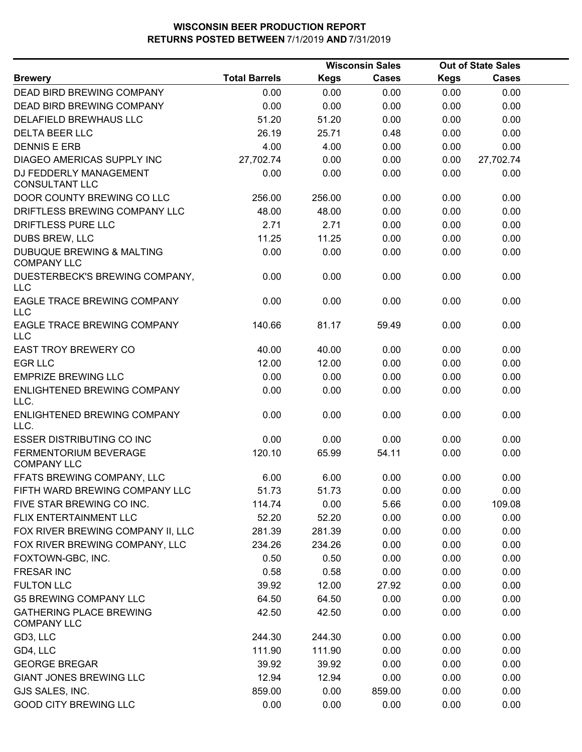|                                                            | <b>Wisconsin Sales</b> |        |        | <b>Out of State Sales</b> |              |  |
|------------------------------------------------------------|------------------------|--------|--------|---------------------------|--------------|--|
| <b>Brewery</b>                                             | <b>Total Barrels</b>   | Kegs   | Cases  | <b>Kegs</b>               | <b>Cases</b> |  |
| <b>DEAD BIRD BREWING COMPANY</b>                           | 0.00                   | 0.00   | 0.00   | 0.00                      | 0.00         |  |
| DEAD BIRD BREWING COMPANY                                  | 0.00                   | 0.00   | 0.00   | 0.00                      | 0.00         |  |
| DELAFIELD BREWHAUS LLC                                     | 51.20                  | 51.20  | 0.00   | 0.00                      | 0.00         |  |
| <b>DELTA BEER LLC</b>                                      | 26.19                  | 25.71  | 0.48   | 0.00                      | 0.00         |  |
| <b>DENNIS E ERB</b>                                        | 4.00                   | 4.00   | 0.00   | 0.00                      | 0.00         |  |
| DIAGEO AMERICAS SUPPLY INC                                 | 27,702.74              | 0.00   | 0.00   | 0.00                      | 27,702.74    |  |
| DJ FEDDERLY MANAGEMENT<br><b>CONSULTANT LLC</b>            | 0.00                   | 0.00   | 0.00   | 0.00                      | 0.00         |  |
| DOOR COUNTY BREWING CO LLC                                 | 256.00                 | 256.00 | 0.00   | 0.00                      | 0.00         |  |
| DRIFTLESS BREWING COMPANY LLC                              | 48.00                  | 48.00  | 0.00   | 0.00                      | 0.00         |  |
| DRIFTLESS PURE LLC                                         | 2.71                   | 2.71   | 0.00   | 0.00                      | 0.00         |  |
| DUBS BREW, LLC                                             | 11.25                  | 11.25  | 0.00   | 0.00                      | 0.00         |  |
| <b>DUBUQUE BREWING &amp; MALTING</b><br><b>COMPANY LLC</b> | 0.00                   | 0.00   | 0.00   | 0.00                      | 0.00         |  |
| DUESTERBECK'S BREWING COMPANY,<br><b>LLC</b>               | 0.00                   | 0.00   | 0.00   | 0.00                      | 0.00         |  |
| EAGLE TRACE BREWING COMPANY<br><b>LLC</b>                  | 0.00                   | 0.00   | 0.00   | 0.00                      | 0.00         |  |
| EAGLE TRACE BREWING COMPANY<br><b>LLC</b>                  | 140.66                 | 81.17  | 59.49  | 0.00                      | 0.00         |  |
| <b>EAST TROY BREWERY CO</b>                                | 40.00                  | 40.00  | 0.00   | 0.00                      | 0.00         |  |
| <b>EGR LLC</b>                                             | 12.00                  | 12.00  | 0.00   | 0.00                      | 0.00         |  |
| <b>EMPRIZE BREWING LLC</b>                                 | 0.00                   | 0.00   | 0.00   | 0.00                      | 0.00         |  |
| ENLIGHTENED BREWING COMPANY<br>LLC.                        | 0.00                   | 0.00   | 0.00   | 0.00                      | 0.00         |  |
| ENLIGHTENED BREWING COMPANY<br>LLC.                        | 0.00                   | 0.00   | 0.00   | 0.00                      | 0.00         |  |
| <b>ESSER DISTRIBUTING CO INC</b>                           | 0.00                   | 0.00   | 0.00   | 0.00                      | 0.00         |  |
| FERMENTORIUM BEVERAGE<br><b>COMPANY LLC</b>                | 120.10                 | 65.99  | 54.11  | 0.00                      | 0.00         |  |
| FFATS BREWING COMPANY, LLC                                 | 6.00                   | 6.00   | 0.00   | 0.00                      | 0.00         |  |
| FIFTH WARD BREWING COMPANY LLC                             | 51.73                  | 51.73  | 0.00   | 0.00                      | 0.00         |  |
| FIVE STAR BREWING CO INC.                                  | 114.74                 | 0.00   | 5.66   | 0.00                      | 109.08       |  |
| FLIX ENTERTAINMENT LLC                                     | 52.20                  | 52.20  | 0.00   | 0.00                      | 0.00         |  |
| FOX RIVER BREWING COMPANY II, LLC                          | 281.39                 | 281.39 | 0.00   | 0.00                      | 0.00         |  |
| FOX RIVER BREWING COMPANY, LLC                             | 234.26                 | 234.26 | 0.00   | 0.00                      | 0.00         |  |
| FOXTOWN-GBC, INC.                                          | 0.50                   | 0.50   | 0.00   | 0.00                      | 0.00         |  |
| <b>FRESAR INC</b>                                          | 0.58                   | 0.58   | 0.00   | 0.00                      | 0.00         |  |
| <b>FULTON LLC</b>                                          | 39.92                  | 12.00  | 27.92  | 0.00                      | 0.00         |  |
| <b>G5 BREWING COMPANY LLC</b>                              | 64.50                  | 64.50  | 0.00   | 0.00                      | 0.00         |  |
| <b>GATHERING PLACE BREWING</b><br><b>COMPANY LLC</b>       | 42.50                  | 42.50  | 0.00   | 0.00                      | 0.00         |  |
| GD3, LLC                                                   | 244.30                 | 244.30 | 0.00   | 0.00                      | 0.00         |  |
| GD4, LLC                                                   | 111.90                 | 111.90 | 0.00   | 0.00                      | 0.00         |  |
| <b>GEORGE BREGAR</b>                                       | 39.92                  | 39.92  | 0.00   | 0.00                      | 0.00         |  |
| <b>GIANT JONES BREWING LLC</b>                             | 12.94                  | 12.94  | 0.00   | 0.00                      | 0.00         |  |
| GJS SALES, INC.                                            | 859.00                 | 0.00   | 859.00 | 0.00                      | 0.00         |  |
| <b>GOOD CITY BREWING LLC</b>                               | 0.00                   | 0.00   | 0.00   | 0.00                      | 0.00         |  |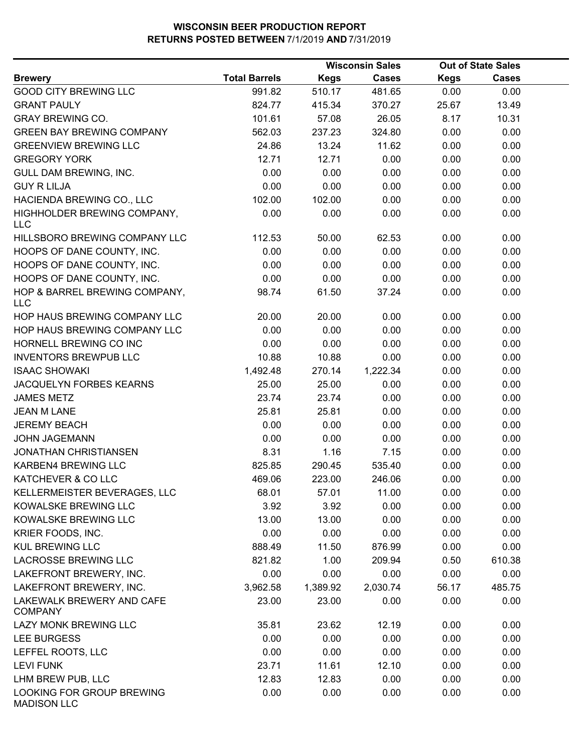|                                                 |                      |             | <b>Wisconsin Sales</b> |             | <b>Out of State Sales</b> |  |
|-------------------------------------------------|----------------------|-------------|------------------------|-------------|---------------------------|--|
| <b>Brewery</b>                                  | <b>Total Barrels</b> | <b>Kegs</b> | Cases                  | <b>Kegs</b> | <b>Cases</b>              |  |
| <b>GOOD CITY BREWING LLC</b>                    | 991.82               | 510.17      | 481.65                 | 0.00        | 0.00                      |  |
| <b>GRANT PAULY</b>                              | 824.77               | 415.34      | 370.27                 | 25.67       | 13.49                     |  |
| <b>GRAY BREWING CO.</b>                         | 101.61               | 57.08       | 26.05                  | 8.17        | 10.31                     |  |
| <b>GREEN BAY BREWING COMPANY</b>                | 562.03               | 237.23      | 324.80                 | 0.00        | 0.00                      |  |
| <b>GREENVIEW BREWING LLC</b>                    | 24.86                | 13.24       | 11.62                  | 0.00        | 0.00                      |  |
| <b>GREGORY YORK</b>                             | 12.71                | 12.71       | 0.00                   | 0.00        | 0.00                      |  |
| <b>GULL DAM BREWING, INC.</b>                   | 0.00                 | 0.00        | 0.00                   | 0.00        | 0.00                      |  |
| <b>GUY R LILJA</b>                              | 0.00                 | 0.00        | 0.00                   | 0.00        | 0.00                      |  |
| HACIENDA BREWING CO., LLC                       | 102.00               | 102.00      | 0.00                   | 0.00        | 0.00                      |  |
| HIGHHOLDER BREWING COMPANY,<br><b>LLC</b>       | 0.00                 | 0.00        | 0.00                   | 0.00        | 0.00                      |  |
| HILLSBORO BREWING COMPANY LLC                   | 112.53               | 50.00       | 62.53                  | 0.00        | 0.00                      |  |
| HOOPS OF DANE COUNTY, INC.                      | 0.00                 | 0.00        | 0.00                   | 0.00        | 0.00                      |  |
| HOOPS OF DANE COUNTY, INC.                      | 0.00                 | 0.00        | 0.00                   | 0.00        | 0.00                      |  |
| HOOPS OF DANE COUNTY, INC.                      | 0.00                 | 0.00        | 0.00                   | 0.00        | 0.00                      |  |
| HOP & BARREL BREWING COMPANY,<br><b>LLC</b>     | 98.74                | 61.50       | 37.24                  | 0.00        | 0.00                      |  |
| HOP HAUS BREWING COMPANY LLC                    | 20.00                | 20.00       | 0.00                   | 0.00        | 0.00                      |  |
| HOP HAUS BREWING COMPANY LLC                    | 0.00                 | 0.00        | 0.00                   | 0.00        | 0.00                      |  |
| HORNELL BREWING CO INC                          | 0.00                 | 0.00        | 0.00                   | 0.00        | 0.00                      |  |
| <b>INVENTORS BREWPUB LLC</b>                    | 10.88                | 10.88       | 0.00                   | 0.00        | 0.00                      |  |
| <b>ISAAC SHOWAKI</b>                            | 1,492.48             | 270.14      | 1,222.34               | 0.00        | 0.00                      |  |
| JACQUELYN FORBES KEARNS                         | 25.00                | 25.00       | 0.00                   | 0.00        | 0.00                      |  |
| <b>JAMES METZ</b>                               | 23.74                | 23.74       | 0.00                   | 0.00        | 0.00                      |  |
| <b>JEAN M LANE</b>                              | 25.81                | 25.81       | 0.00                   | 0.00        | 0.00                      |  |
| <b>JEREMY BEACH</b>                             | 0.00                 | 0.00        | 0.00                   | 0.00        | 0.00                      |  |
| <b>JOHN JAGEMANN</b>                            | 0.00                 | 0.00        | 0.00                   | 0.00        | 0.00                      |  |
| <b>JONATHAN CHRISTIANSEN</b>                    | 8.31                 | 1.16        | 7.15                   | 0.00        | 0.00                      |  |
| KARBEN4 BREWING LLC                             | 825.85               | 290.45      | 535.40                 | 0.00        | 0.00                      |  |
| KATCHEVER & CO LLC                              | 469.06               | 223.00      | 246.06                 | 0.00        | 0.00                      |  |
| KELLERMEISTER BEVERAGES, LLC                    | 68.01                | 57.01       | 11.00                  | 0.00        | 0.00                      |  |
| KOWALSKE BREWING LLC                            | 3.92                 | 3.92        | 0.00                   | 0.00        | 0.00                      |  |
| KOWALSKE BREWING LLC                            | 13.00                | 13.00       | 0.00                   | 0.00        | 0.00                      |  |
| KRIER FOODS, INC.                               | 0.00                 | 0.00        | 0.00                   | 0.00        | 0.00                      |  |
| <b>KUL BREWING LLC</b>                          | 888.49               | 11.50       | 876.99                 | 0.00        | 0.00                      |  |
| <b>LACROSSE BREWING LLC</b>                     | 821.82               | 1.00        | 209.94                 | 0.50        | 610.38                    |  |
| LAKEFRONT BREWERY, INC.                         | 0.00                 | 0.00        | 0.00                   | 0.00        | 0.00                      |  |
| LAKEFRONT BREWERY, INC.                         | 3,962.58             | 1,389.92    | 2,030.74               | 56.17       | 485.75                    |  |
| LAKEWALK BREWERY AND CAFE<br><b>COMPANY</b>     | 23.00                | 23.00       | 0.00                   | 0.00        | 0.00                      |  |
| LAZY MONK BREWING LLC                           | 35.81                | 23.62       | 12.19                  | 0.00        | 0.00                      |  |
| LEE BURGESS                                     | 0.00                 | 0.00        | 0.00                   | 0.00        | 0.00                      |  |
| LEFFEL ROOTS, LLC                               | 0.00                 | 0.00        | 0.00                   | 0.00        | 0.00                      |  |
| <b>LEVI FUNK</b>                                | 23.71                | 11.61       | 12.10                  | 0.00        | 0.00                      |  |
| LHM BREW PUB, LLC                               | 12.83                | 12.83       | 0.00                   | 0.00        | 0.00                      |  |
| LOOKING FOR GROUP BREWING<br><b>MADISON LLC</b> | 0.00                 | 0.00        | 0.00                   | 0.00        | 0.00                      |  |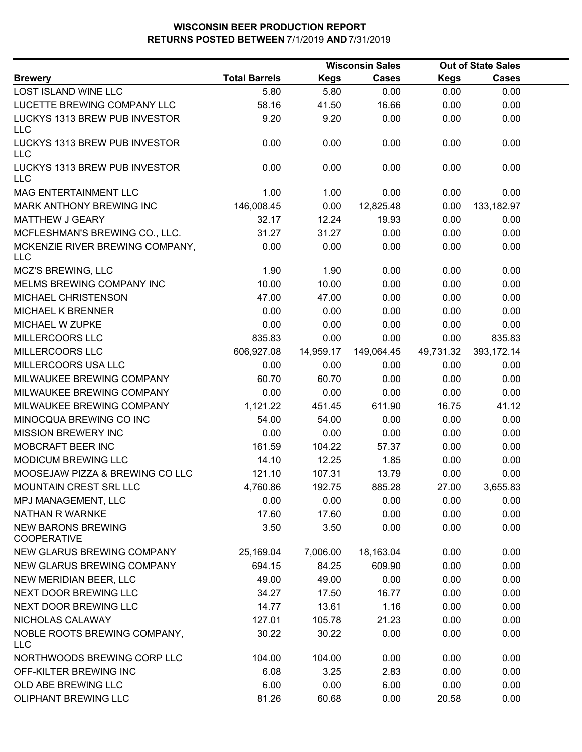|                                                 |                      |             | <b>Wisconsin Sales</b> |             | <b>Out of State Sales</b> |  |
|-------------------------------------------------|----------------------|-------------|------------------------|-------------|---------------------------|--|
| <b>Brewery</b>                                  | <b>Total Barrels</b> | <b>Kegs</b> | <b>Cases</b>           | <b>Kegs</b> | <b>Cases</b>              |  |
| LOST ISLAND WINE LLC                            | 5.80                 | 5.80        | 0.00                   | 0.00        | 0.00                      |  |
| LUCETTE BREWING COMPANY LLC                     | 58.16                | 41.50       | 16.66                  | 0.00        | 0.00                      |  |
| LUCKYS 1313 BREW PUB INVESTOR<br><b>LLC</b>     | 9.20                 | 9.20        | 0.00                   | 0.00        | 0.00                      |  |
| LUCKYS 1313 BREW PUB INVESTOR<br><b>LLC</b>     | 0.00                 | 0.00        | 0.00                   | 0.00        | 0.00                      |  |
| LUCKYS 1313 BREW PUB INVESTOR<br><b>LLC</b>     | 0.00                 | 0.00        | 0.00                   | 0.00        | 0.00                      |  |
| <b>MAG ENTERTAINMENT LLC</b>                    | 1.00                 | 1.00        | 0.00                   | 0.00        | 0.00                      |  |
| MARK ANTHONY BREWING INC                        | 146,008.45           | 0.00        | 12,825.48              | 0.00        | 133,182.97                |  |
| <b>MATTHEW J GEARY</b>                          | 32.17                | 12.24       | 19.93                  | 0.00        | 0.00                      |  |
| MCFLESHMAN'S BREWING CO., LLC.                  | 31.27                | 31.27       | 0.00                   | 0.00        | 0.00                      |  |
| MCKENZIE RIVER BREWING COMPANY,<br><b>LLC</b>   | 0.00                 | 0.00        | 0.00                   | 0.00        | 0.00                      |  |
| MCZ'S BREWING, LLC                              | 1.90                 | 1.90        | 0.00                   | 0.00        | 0.00                      |  |
| MELMS BREWING COMPANY INC                       | 10.00                | 10.00       | 0.00                   | 0.00        | 0.00                      |  |
| MICHAEL CHRISTENSON                             | 47.00                | 47.00       | 0.00                   | 0.00        | 0.00                      |  |
| <b>MICHAEL K BRENNER</b>                        | 0.00                 | 0.00        | 0.00                   | 0.00        | 0.00                      |  |
| MICHAEL W ZUPKE                                 | 0.00                 | 0.00        | 0.00                   | 0.00        | 0.00                      |  |
| MILLERCOORS LLC                                 | 835.83               | 0.00        | 0.00                   | 0.00        | 835.83                    |  |
| MILLERCOORS LLC                                 | 606,927.08           | 14,959.17   | 149,064.45             | 49,731.32   | 393,172.14                |  |
| MILLERCOORS USA LLC                             | 0.00                 | 0.00        | 0.00                   | 0.00        | 0.00                      |  |
| MILWAUKEE BREWING COMPANY                       | 60.70                | 60.70       | 0.00                   | 0.00        | 0.00                      |  |
| MILWAUKEE BREWING COMPANY                       | 0.00                 | 0.00        | 0.00                   | 0.00        | 0.00                      |  |
| MILWAUKEE BREWING COMPANY                       | 1,121.22             | 451.45      | 611.90                 | 16.75       | 41.12                     |  |
| MINOCQUA BREWING CO INC                         | 54.00                | 54.00       | 0.00                   | 0.00        | 0.00                      |  |
| <b>MISSION BREWERY INC</b>                      | 0.00                 | 0.00        | 0.00                   | 0.00        | 0.00                      |  |
| MOBCRAFT BEER INC                               | 161.59               | 104.22      | 57.37                  | 0.00        | 0.00                      |  |
| MODICUM BREWING LLC                             | 14.10                | 12.25       | 1.85                   | 0.00        | 0.00                      |  |
| MOOSEJAW PIZZA & BREWING CO LLC                 | 121.10               | 107.31      | 13.79                  | 0.00        | 0.00                      |  |
| MOUNTAIN CREST SRL LLC                          | 4,760.86             | 192.75      | 885.28                 | 27.00       | 3,655.83                  |  |
| MPJ MANAGEMENT, LLC                             | 0.00                 | 0.00        | 0.00                   | 0.00        | 0.00                      |  |
| <b>NATHAN R WARNKE</b>                          | 17.60                | 17.60       | 0.00                   | 0.00        | 0.00                      |  |
| <b>NEW BARONS BREWING</b><br><b>COOPERATIVE</b> | 3.50                 | 3.50        | 0.00                   | 0.00        | 0.00                      |  |
| NEW GLARUS BREWING COMPANY                      | 25,169.04            | 7,006.00    | 18,163.04              | 0.00        | 0.00                      |  |
| NEW GLARUS BREWING COMPANY                      | 694.15               | 84.25       | 609.90                 | 0.00        | 0.00                      |  |
| NEW MERIDIAN BEER, LLC                          | 49.00                | 49.00       | 0.00                   | 0.00        | 0.00                      |  |
| NEXT DOOR BREWING LLC                           | 34.27                | 17.50       | 16.77                  | 0.00        | 0.00                      |  |
| NEXT DOOR BREWING LLC                           | 14.77                | 13.61       | 1.16                   | 0.00        | 0.00                      |  |
| NICHOLAS CALAWAY                                | 127.01               | 105.78      | 21.23                  | 0.00        | 0.00                      |  |
| NOBLE ROOTS BREWING COMPANY,<br><b>LLC</b>      | 30.22                | 30.22       | 0.00                   | 0.00        | 0.00                      |  |
| NORTHWOODS BREWING CORP LLC                     | 104.00               | 104.00      | 0.00                   | 0.00        | 0.00                      |  |
| OFF-KILTER BREWING INC                          | 6.08                 | 3.25        | 2.83                   | 0.00        | 0.00                      |  |
| OLD ABE BREWING LLC                             | 6.00                 | 0.00        | 6.00                   | 0.00        | 0.00                      |  |
| OLIPHANT BREWING LLC                            | 81.26                | 60.68       | 0.00                   | 20.58       | 0.00                      |  |
|                                                 |                      |             |                        |             |                           |  |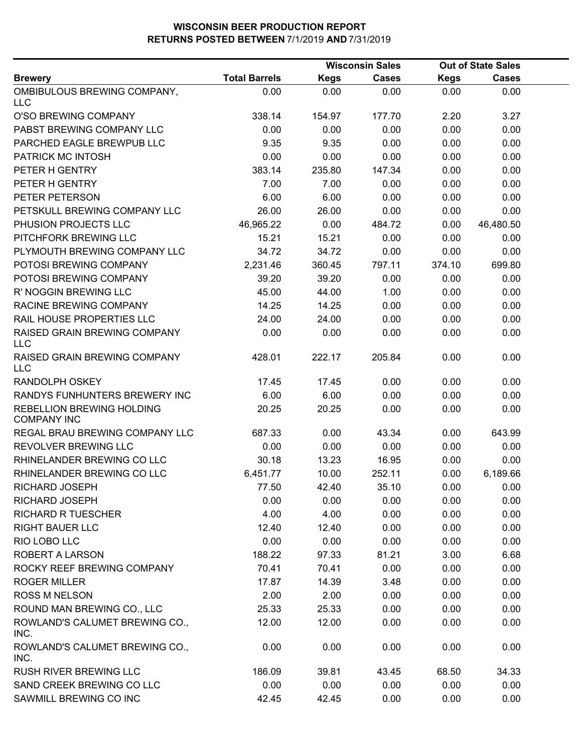|                                                 |                      | <b>Wisconsin Sales</b> |              |             | <b>Out of State Sales</b> |  |
|-------------------------------------------------|----------------------|------------------------|--------------|-------------|---------------------------|--|
| <b>Brewery</b>                                  | <b>Total Barrels</b> | <b>Kegs</b>            | <b>Cases</b> | <b>Kegs</b> | <b>Cases</b>              |  |
| OMBIBULOUS BREWING COMPANY,<br><b>LLC</b>       | 0.00                 | 0.00                   | 0.00         | 0.00        | 0.00                      |  |
| O'SO BREWING COMPANY                            | 338.14               | 154.97                 | 177.70       | 2.20        | 3.27                      |  |
| PABST BREWING COMPANY LLC                       | 0.00                 | 0.00                   | 0.00         | 0.00        | 0.00                      |  |
| PARCHED EAGLE BREWPUB LLC                       | 9.35                 | 9.35                   | 0.00         | 0.00        | 0.00                      |  |
| PATRICK MC INTOSH                               | 0.00                 | 0.00                   | 0.00         | 0.00        | 0.00                      |  |
| PETER H GENTRY                                  | 383.14               | 235.80                 | 147.34       | 0.00        | 0.00                      |  |
| PETER H GENTRY                                  | 7.00                 | 7.00                   | 0.00         | 0.00        | 0.00                      |  |
| PETER PETERSON                                  | 6.00                 | 6.00                   | 0.00         | 0.00        | 0.00                      |  |
| PETSKULL BREWING COMPANY LLC                    | 26.00                | 26.00                  | 0.00         | 0.00        | 0.00                      |  |
| PHUSION PROJECTS LLC                            | 46,965.22            | 0.00                   | 484.72       | 0.00        | 46,480.50                 |  |
| PITCHFORK BREWING LLC                           | 15.21                | 15.21                  | 0.00         | 0.00        | 0.00                      |  |
| PLYMOUTH BREWING COMPANY LLC                    | 34.72                | 34.72                  | 0.00         | 0.00        | 0.00                      |  |
| POTOSI BREWING COMPANY                          | 2,231.46             | 360.45                 | 797.11       | 374.10      | 699.80                    |  |
| POTOSI BREWING COMPANY                          | 39.20                | 39.20                  | 0.00         | 0.00        | 0.00                      |  |
| R' NOGGIN BREWING LLC                           | 45.00                | 44.00                  | 1.00         | 0.00        | 0.00                      |  |
| <b>RACINE BREWING COMPANY</b>                   | 14.25                | 14.25                  | 0.00         | 0.00        | 0.00                      |  |
| RAIL HOUSE PROPERTIES LLC                       | 24.00                | 24.00                  | 0.00         | 0.00        | 0.00                      |  |
| RAISED GRAIN BREWING COMPANY<br><b>LLC</b>      | 0.00                 | 0.00                   | 0.00         | 0.00        | 0.00                      |  |
| RAISED GRAIN BREWING COMPANY<br><b>LLC</b>      | 428.01               | 222.17                 | 205.84       | 0.00        | 0.00                      |  |
| <b>RANDOLPH OSKEY</b>                           | 17.45                | 17.45                  | 0.00         | 0.00        | 0.00                      |  |
| RANDYS FUNHUNTERS BREWERY INC                   | 6.00                 | 6.00                   | 0.00         | 0.00        | 0.00                      |  |
| REBELLION BREWING HOLDING<br><b>COMPANY INC</b> | 20.25                | 20.25                  | 0.00         | 0.00        | 0.00                      |  |
| REGAL BRAU BREWING COMPANY LLC                  | 687.33               | 0.00                   | 43.34        | 0.00        | 643.99                    |  |
| REVOLVER BREWING LLC                            | 0.00                 | 0.00                   | 0.00         | 0.00        | 0.00                      |  |
| RHINELANDER BREWING CO LLC                      | 30.18                | 13.23                  | 16.95        | 0.00        | 0.00                      |  |
| RHINELANDER BREWING CO LLC                      | 6,451.77             | 10.00                  | 252.11       | 0.00        | 6,189.66                  |  |
| RICHARD JOSEPH                                  | 77.50                | 42.40                  | 35.10        | 0.00        | 0.00                      |  |
| RICHARD JOSEPH                                  | 0.00                 | 0.00                   | 0.00         | 0.00        | 0.00                      |  |
| <b>RICHARD R TUESCHER</b>                       | 4.00                 | 4.00                   | 0.00         | 0.00        | 0.00                      |  |
| <b>RIGHT BAUER LLC</b>                          | 12.40                | 12.40                  | 0.00         | 0.00        | 0.00                      |  |
| RIO LOBO LLC                                    | 0.00                 | 0.00                   | 0.00         | 0.00        | 0.00                      |  |
| <b>ROBERT A LARSON</b>                          | 188.22               | 97.33                  | 81.21        | 3.00        | 6.68                      |  |
| ROCKY REEF BREWING COMPANY                      | 70.41                | 70.41                  | 0.00         | 0.00        | 0.00                      |  |
| <b>ROGER MILLER</b>                             | 17.87                | 14.39                  | 3.48         | 0.00        | 0.00                      |  |
| <b>ROSS M NELSON</b>                            | 2.00                 | 2.00                   | 0.00         | 0.00        | 0.00                      |  |
| ROUND MAN BREWING CO., LLC                      | 25.33                | 25.33                  | 0.00         | 0.00        | 0.00                      |  |
| ROWLAND'S CALUMET BREWING CO.,<br>INC.          | 12.00                | 12.00                  | 0.00         | 0.00        | 0.00                      |  |
| ROWLAND'S CALUMET BREWING CO.,<br>INC.          | 0.00                 | 0.00                   | 0.00         | 0.00        | 0.00                      |  |
| RUSH RIVER BREWING LLC                          | 186.09               | 39.81                  | 43.45        | 68.50       | 34.33                     |  |
| SAND CREEK BREWING CO LLC                       | 0.00                 | 0.00                   | 0.00         | 0.00        | 0.00                      |  |
| SAWMILL BREWING CO INC                          | 42.45                | 42.45                  | 0.00         | 0.00        | 0.00                      |  |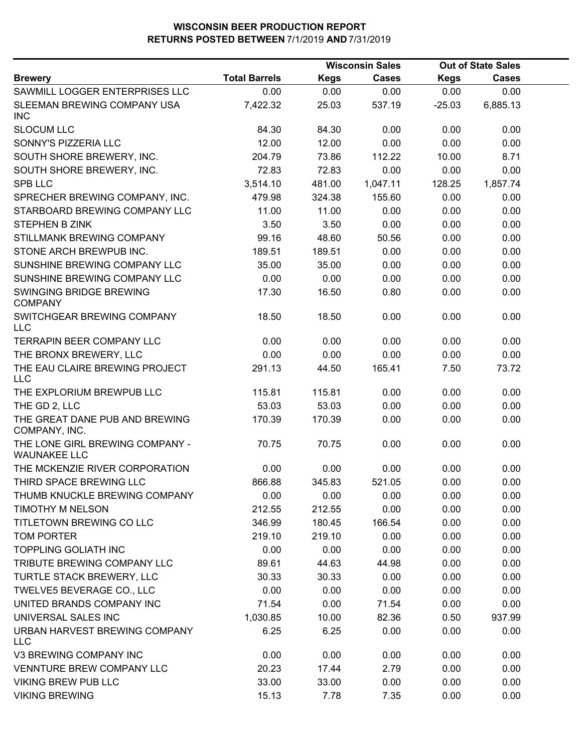|                                                        |                      | <b>Wisconsin Sales</b> |              | <b>Out of State Sales</b> |              |  |
|--------------------------------------------------------|----------------------|------------------------|--------------|---------------------------|--------------|--|
| <b>Brewery</b>                                         | <b>Total Barrels</b> | <b>Kegs</b>            | <b>Cases</b> | <b>Kegs</b>               | <b>Cases</b> |  |
| SAWMILL LOGGER ENTERPRISES LLC                         | 0.00                 | 0.00                   | 0.00         | 0.00                      | 0.00         |  |
| SLEEMAN BREWING COMPANY USA<br><b>INC</b>              | 7,422.32             | 25.03                  | 537.19       | $-25.03$                  | 6,885.13     |  |
| <b>SLOCUM LLC</b>                                      | 84.30                | 84.30                  | 0.00         | 0.00                      | 0.00         |  |
| SONNY'S PIZZERIA LLC                                   | 12.00                | 12.00                  | 0.00         | 0.00                      | 0.00         |  |
| SOUTH SHORE BREWERY, INC.                              | 204.79               | 73.86                  | 112.22       | 10.00                     | 8.71         |  |
| SOUTH SHORE BREWERY, INC.                              | 72.83                | 72.83                  | 0.00         | 0.00                      | 0.00         |  |
| <b>SPB LLC</b>                                         | 3,514.10             | 481.00                 | 1,047.11     | 128.25                    | 1,857.74     |  |
| SPRECHER BREWING COMPANY, INC.                         | 479.98               | 324.38                 | 155.60       | 0.00                      | 0.00         |  |
| STARBOARD BREWING COMPANY LLC                          | 11.00                | 11.00                  | 0.00         | 0.00                      | 0.00         |  |
| <b>STEPHEN B ZINK</b>                                  | 3.50                 | 3.50                   | 0.00         | 0.00                      | 0.00         |  |
| STILLMANK BREWING COMPANY                              | 99.16                | 48.60                  | 50.56        | 0.00                      | 0.00         |  |
| STONE ARCH BREWPUB INC.                                | 189.51               | 189.51                 | 0.00         | 0.00                      | 0.00         |  |
| SUNSHINE BREWING COMPANY LLC                           | 35.00                | 35.00                  | 0.00         | 0.00                      | 0.00         |  |
| SUNSHINE BREWING COMPANY LLC                           | 0.00                 | 0.00                   | 0.00         | 0.00                      | 0.00         |  |
| SWINGING BRIDGE BREWING<br><b>COMPANY</b>              | 17.30                | 16.50                  | 0.80         | 0.00                      | 0.00         |  |
| SWITCHGEAR BREWING COMPANY<br><b>LLC</b>               | 18.50                | 18.50                  | 0.00         | 0.00                      | 0.00         |  |
| <b>TERRAPIN BEER COMPANY LLC</b>                       | 0.00                 | 0.00                   | 0.00         | 0.00                      | 0.00         |  |
| THE BRONX BREWERY, LLC                                 | 0.00                 | 0.00                   | 0.00         | 0.00                      | 0.00         |  |
| THE EAU CLAIRE BREWING PROJECT<br><b>LLC</b>           | 291.13               | 44.50                  | 165.41       | 7.50                      | 73.72        |  |
| THE EXPLORIUM BREWPUB LLC                              | 115.81               | 115.81                 | 0.00         | 0.00                      | 0.00         |  |
| THE GD 2, LLC                                          | 53.03                | 53.03                  | 0.00         | 0.00                      | 0.00         |  |
| THE GREAT DANE PUB AND BREWING<br>COMPANY, INC.        | 170.39               | 170.39                 | 0.00         | 0.00                      | 0.00         |  |
| THE LONE GIRL BREWING COMPANY -<br><b>WAUNAKEE LLC</b> | 70.75                | 70.75                  | 0.00         | 0.00                      | 0.00         |  |
| THE MCKENZIE RIVER CORPORATION                         | 0.00                 | 0.00                   | 0.00         | 0.00                      | 0.00         |  |
| THIRD SPACE BREWING LLC                                | 866.88               | 345.83                 | 521.05       | 0.00                      | 0.00         |  |
| THUMB KNUCKLE BREWING COMPANY                          | 0.00                 | 0.00                   | 0.00         | 0.00                      | 0.00         |  |
| TIMOTHY M NELSON                                       | 212.55               | 212.55                 | 0.00         | 0.00                      | 0.00         |  |
| TITLETOWN BREWING CO LLC                               | 346.99               | 180.45                 | 166.54       | 0.00                      | 0.00         |  |
| <b>TOM PORTER</b>                                      | 219.10               | 219.10                 | 0.00         | 0.00                      | 0.00         |  |
| TOPPLING GOLIATH INC                                   | 0.00                 | 0.00                   | 0.00         | 0.00                      | 0.00         |  |
| TRIBUTE BREWING COMPANY LLC                            | 89.61                | 44.63                  | 44.98        | 0.00                      | 0.00         |  |
| TURTLE STACK BREWERY, LLC                              | 30.33                | 30.33                  | 0.00         | 0.00                      | 0.00         |  |
| TWELVE5 BEVERAGE CO., LLC                              | 0.00                 | 0.00                   | 0.00         | 0.00                      | 0.00         |  |
| UNITED BRANDS COMPANY INC                              | 71.54                | 0.00                   | 71.54        | 0.00                      | 0.00         |  |
| UNIVERSAL SALES INC                                    | 1,030.85             | 10.00                  | 82.36        | 0.50                      | 937.99       |  |
| URBAN HARVEST BREWING COMPANY<br><b>LLC</b>            | 6.25                 | 6.25                   | 0.00         | 0.00                      | 0.00         |  |
| V3 BREWING COMPANY INC                                 | 0.00                 | 0.00                   | 0.00         | 0.00                      | 0.00         |  |
| VENNTURE BREW COMPANY LLC                              | 20.23                | 17.44                  | 2.79         | 0.00                      | 0.00         |  |
| <b>VIKING BREW PUB LLC</b>                             | 33.00                | 33.00                  | 0.00         | 0.00                      | 0.00         |  |
| <b>VIKING BREWING</b>                                  | 15.13                | 7.78                   | 7.35         | 0.00                      | 0.00         |  |